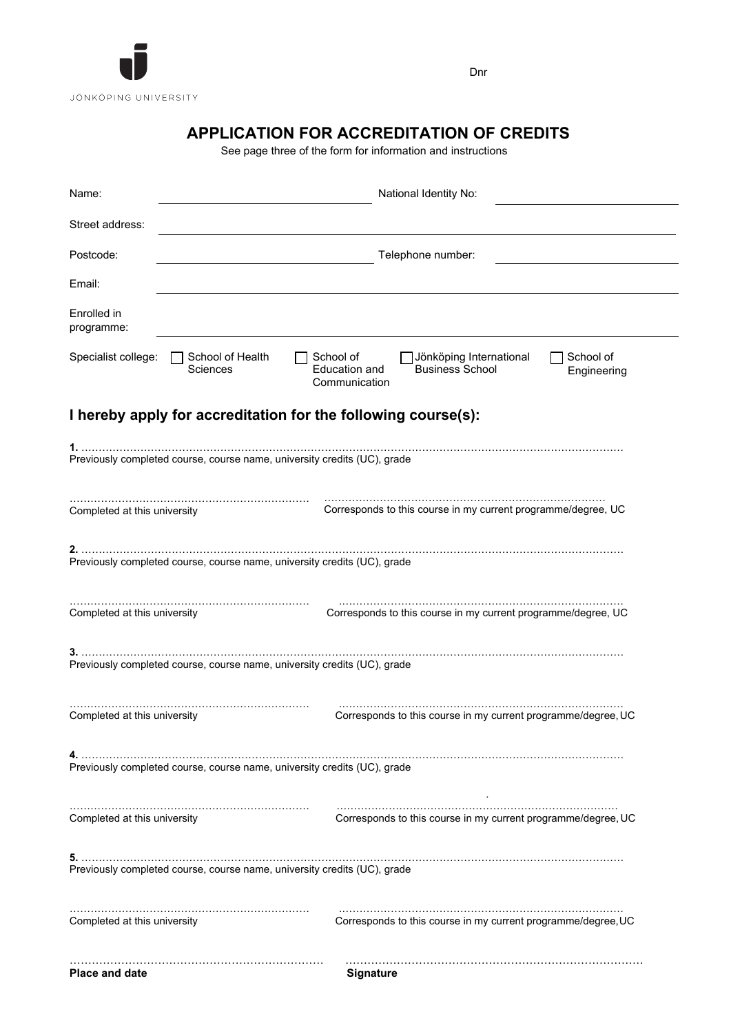

Dnr

# **APPLICATION FOR ACCREDITATION OF CREDITS**

See page three of the form for information and instructions

| Name:                                                                    | National Identity No:                                                                                                                                        |  |  |  |  |  |  |
|--------------------------------------------------------------------------|--------------------------------------------------------------------------------------------------------------------------------------------------------------|--|--|--|--|--|--|
| Street address:                                                          |                                                                                                                                                              |  |  |  |  |  |  |
| Postcode:                                                                | Telephone number:                                                                                                                                            |  |  |  |  |  |  |
| Email:                                                                   |                                                                                                                                                              |  |  |  |  |  |  |
| Enrolled in<br>programme:                                                |                                                                                                                                                              |  |  |  |  |  |  |
| Specialist college:                                                      | School of Health<br>School of<br>School of<br>Jönköping International<br>Education and<br><b>Business School</b><br>Sciences<br>Engineering<br>Communication |  |  |  |  |  |  |
|                                                                          | I hereby apply for accreditation for the following course(s):                                                                                                |  |  |  |  |  |  |
|                                                                          |                                                                                                                                                              |  |  |  |  |  |  |
|                                                                          | Previously completed course, course name, university credits (UC), grade                                                                                     |  |  |  |  |  |  |
| Completed at this university                                             | Corresponds to this course in my current programme/degree, UC                                                                                                |  |  |  |  |  |  |
|                                                                          | Previously completed course, course name, university credits (UC), grade                                                                                     |  |  |  |  |  |  |
| Completed at this university                                             | Corresponds to this course in my current programme/degree, UC                                                                                                |  |  |  |  |  |  |
| Previously completed course, course name, university credits (UC), grade |                                                                                                                                                              |  |  |  |  |  |  |
| Completed at this university                                             | Corresponds to this course in my current programme/degree, UC                                                                                                |  |  |  |  |  |  |
| Previously completed course, course name, university credits (UC), grade |                                                                                                                                                              |  |  |  |  |  |  |
| Completed at this university                                             | Corresponds to this course in my current programme/degree, UC                                                                                                |  |  |  |  |  |  |
| Previously completed course, course name, university credits (UC), grade |                                                                                                                                                              |  |  |  |  |  |  |
| Completed at this university                                             | Corresponds to this course in my current programme/degree, UC                                                                                                |  |  |  |  |  |  |
| <b>Place and date</b>                                                    | <b>Signature</b>                                                                                                                                             |  |  |  |  |  |  |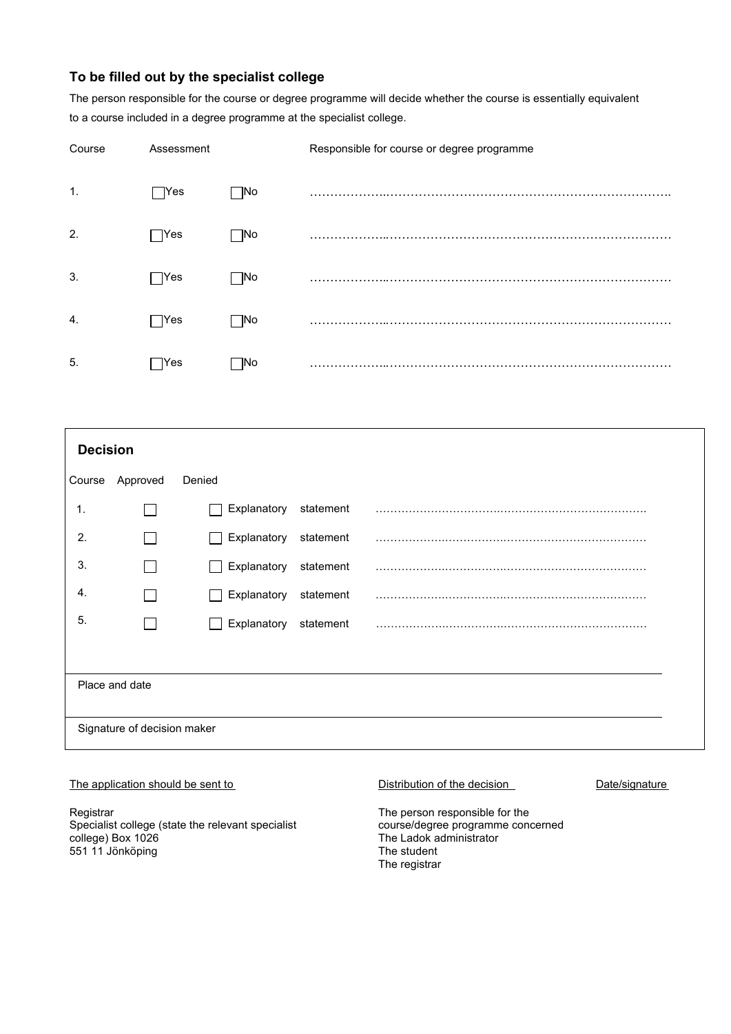# **To be filled out by the specialist college**

The person responsible for the course or degree programme will decide whether the course is essentially equivalent to a course included in a degree programme at the specialist college.

| Course | Assessment    |           | Responsible for course or degree programme |
|--------|---------------|-----------|--------------------------------------------|
| 1.     | $\bigcap$ Yes | $\neg$ No |                                            |
| 2.     | $\bigcap$ Yes | ∩No       |                                            |
| 3.     | $\bigcap$ Yes | ∩No       |                                            |
| 4.     | $\bigcap$ Yes | $\Box$ No |                                            |
| 5.     | $\exists$ Yes | ∏No       |                                            |

| <b>Decision</b>             |          |                             |           |  |  |  |  |
|-----------------------------|----------|-----------------------------|-----------|--|--|--|--|
| Course                      | Approved | Denied                      |           |  |  |  |  |
| $\mathbf 1$ .               |          | Explanatory                 | statement |  |  |  |  |
| 2.                          |          | Explanatory                 | statement |  |  |  |  |
| 3.                          |          | Explanatory<br>$\mathbf{I}$ | statement |  |  |  |  |
| 4.                          |          | Explanatory                 | statement |  |  |  |  |
| 5.                          |          | Explanatory                 | statement |  |  |  |  |
|                             |          |                             |           |  |  |  |  |
| Place and date              |          |                             |           |  |  |  |  |
|                             |          |                             |           |  |  |  |  |
| Signature of decision maker |          |                             |           |  |  |  |  |

## The application should be sent to Distribution of the decision Date/signature

**Registrar** Specialist college (state the relevant specialist college) Box 1026 551 11 Jönköping

The person responsible for the course/degree programme concerned The Ladok administrator The student The registrar